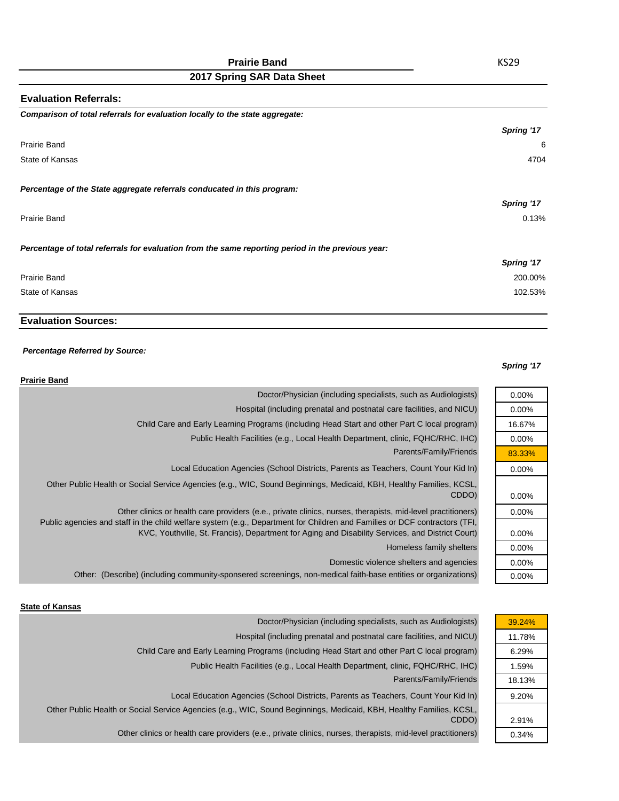| <b>Evaluation Referrals:</b>                                                                      |            |
|---------------------------------------------------------------------------------------------------|------------|
| Comparison of total referrals for evaluation locally to the state aggregate:                      |            |
|                                                                                                   | Spring '17 |
| Prairie Band                                                                                      | Е          |
| State of Kansas                                                                                   | 4704       |
| Percentage of the State aggregate referrals conducated in this program:                           |            |
|                                                                                                   | Spring '17 |
| Prairie Band                                                                                      | 0.13%      |
| Percentage of total referrals for evaluation from the same reporting period in the previous year: |            |
|                                                                                                   | Spring '17 |
| Prairie Band                                                                                      | 200.00%    |
| State of Kansas                                                                                   | 102.53%    |

# **Evaluation Sources:**

#### *Percentage Referred by Source:*

#### *Spring '17*

0.00% 0.00% 16.67% 0.00% 83.33% 0.00%

0.00% 0.00%

0.00% 0.00% 0.00% 0.00%

| <b>Prairie Band</b>                                                                                                                                                                                                                                                                                                                           |
|-----------------------------------------------------------------------------------------------------------------------------------------------------------------------------------------------------------------------------------------------------------------------------------------------------------------------------------------------|
| Doctor/Physician (including specialists, such as Audiologists)                                                                                                                                                                                                                                                                                |
| Hospital (including prenatal and postnatal care facilities, and NICU)                                                                                                                                                                                                                                                                         |
| Child Care and Early Learning Programs (including Head Start and other Part C local program)                                                                                                                                                                                                                                                  |
| Public Health Facilities (e.g., Local Health Department, clinic, FQHC/RHC, IHC)                                                                                                                                                                                                                                                               |
| Parents/Family/Friends                                                                                                                                                                                                                                                                                                                        |
| Local Education Agencies (School Districts, Parents as Teachers, Count Your Kid In)                                                                                                                                                                                                                                                           |
| Other Public Health or Social Service Agencies (e.g., WIC, Sound Beginnings, Medicaid, KBH, Healthy Families, KCSL,<br>CDDO)                                                                                                                                                                                                                  |
| Other clinics or health care providers (e.e., private clinics, nurses, therapists, mid-level practitioners)<br>Public agencies and staff in the child welfare system (e.g., Department for Children and Families or DCF contractors (TFI,<br>KVC, Youthville, St. Francis), Department for Aging and Disability Services, and District Court) |
| Homeless family shelters                                                                                                                                                                                                                                                                                                                      |
| Domestic violence shelters and agencies                                                                                                                                                                                                                                                                                                       |
| Other: (Describe) (including community-sponsered screenings, non-medical faith-base entities or organizations)                                                                                                                                                                                                                                |

#### **State of Kansas**

| Doctor/Physician (including specialists, such as Audiologists)                                                      | 39.24% |
|---------------------------------------------------------------------------------------------------------------------|--------|
| Hospital (including prenatal and postnatal care facilities, and NICU)                                               | 11.78% |
| Child Care and Early Learning Programs (including Head Start and other Part C local program)                        | 6.29%  |
| Public Health Facilities (e.g., Local Health Department, clinic, FQHC/RHC, IHC)                                     | 1.59%  |
| Parents/Family/Friends                                                                                              | 18.13% |
| Local Education Agencies (School Districts, Parents as Teachers, Count Your Kid In)                                 | 9.20%  |
| Other Public Health or Social Service Agencies (e.g., WIC, Sound Beginnings, Medicaid, KBH, Healthy Families, KCSL, |        |
| CDDO)                                                                                                               | 2.91%  |
| Other clinics or health care providers (e.e., private clinics, nurses, therapists, mid-level practitioners)         | 0.34%  |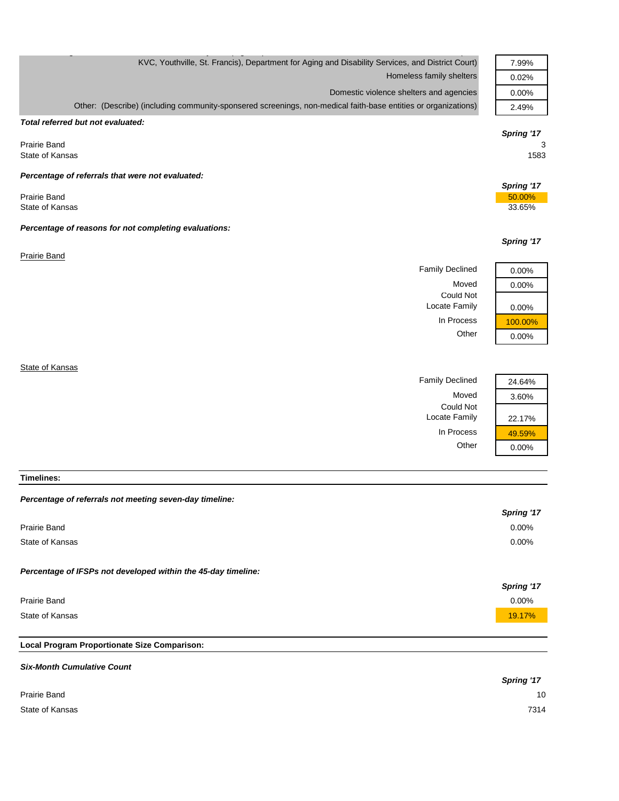| KVC, Youthville, St. Francis), Department for Aging and Disability Services, and District Court)<br>Homeless family shelters | 7.99%<br>0.02% |
|------------------------------------------------------------------------------------------------------------------------------|----------------|
| Domestic violence shelters and agencies                                                                                      | 0.00%          |
|                                                                                                                              |                |
| Other: (Describe) (including community-sponsered screenings, non-medical faith-base entities or organizations)               | 2.49%          |
| Total referred but not evaluated:                                                                                            |                |
|                                                                                                                              | Spring '17     |
| <b>Prairie Band</b>                                                                                                          | 3              |
| State of Kansas                                                                                                              | 1583           |
| Percentage of referrals that were not evaluated:                                                                             |                |
|                                                                                                                              | Spring '17     |
| <b>Prairie Band</b>                                                                                                          | 50.00%         |
| State of Kansas                                                                                                              | 33.65%         |
| Percentage of reasons for not completing evaluations:                                                                        |                |
|                                                                                                                              | Spring '17     |
| Prairie Band                                                                                                                 |                |
| <b>Family Declined</b>                                                                                                       | 0.00%          |
| Moved                                                                                                                        |                |
| Could Not                                                                                                                    | 0.00%          |
| Locate Family                                                                                                                | 0.00%          |
| In Process                                                                                                                   | 100.00%        |
| Other                                                                                                                        | 0.00%          |
|                                                                                                                              |                |
| State of Kansas                                                                                                              |                |
| <b>Family Declined</b>                                                                                                       | 24.64%         |
| Moved                                                                                                                        | 3.60%          |

**Timelines:**

### *Percentage of referrals not meeting seven-day timeline:*

|                                                               | Spring '17        |
|---------------------------------------------------------------|-------------------|
| Prairie Band                                                  | 0.00%             |
| State of Kansas                                               | 0.00%             |
| Percentage of IFSPs not developed within the 45-day timeline: | <b>Spring '17</b> |
| Prairie Band                                                  | 0.00%             |
| State of Kansas                                               | 19.17%            |

Could Not

Locate Family 22.17%

In Process  $\frac{49.59\%}{0.00\%}$ 

 $0.00%$ 

# **Local Program Proportionate Size Comparison:**

| <b>Six-Month Cumulative Count</b> |            |
|-----------------------------------|------------|
|                                   | Spring '17 |
| Prairie Band                      | 10         |
| State of Kansas                   | 7314       |